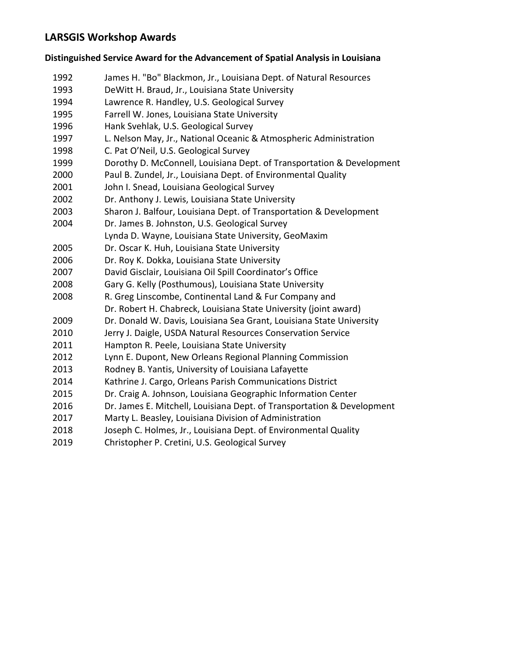## **LARSGIS Workshop Awards**

## **Distinguished Service Award for the Advancement of Spatial Analysis in Louisiana**

| 1992 | James H. "Bo" Blackmon, Jr., Louisiana Dept. of Natural Resources      |
|------|------------------------------------------------------------------------|
| 1993 | DeWitt H. Braud, Jr., Louisiana State University                       |
| 1994 | Lawrence R. Handley, U.S. Geological Survey                            |
| 1995 | Farrell W. Jones, Louisiana State University                           |
| 1996 | Hank Svehlak, U.S. Geological Survey                                   |
| 1997 | L. Nelson May, Jr., National Oceanic & Atmospheric Administration      |
| 1998 | C. Pat O'Neil, U.S. Geological Survey                                  |
| 1999 | Dorothy D. McConnell, Louisiana Dept. of Transportation & Development  |
| 2000 | Paul B. Zundel, Jr., Louisiana Dept. of Environmental Quality          |
| 2001 | John I. Snead, Louisiana Geological Survey                             |
| 2002 | Dr. Anthony J. Lewis, Louisiana State University                       |
| 2003 | Sharon J. Balfour, Louisiana Dept. of Transportation & Development     |
| 2004 | Dr. James B. Johnston, U.S. Geological Survey                          |
|      | Lynda D. Wayne, Louisiana State University, GeoMaxim                   |
| 2005 | Dr. Oscar K. Huh, Louisiana State University                           |
| 2006 | Dr. Roy K. Dokka, Louisiana State University                           |
| 2007 | David Gisclair, Louisiana Oil Spill Coordinator's Office               |
| 2008 | Gary G. Kelly (Posthumous), Louisiana State University                 |
| 2008 | R. Greg Linscombe, Continental Land & Fur Company and                  |
|      | Dr. Robert H. Chabreck, Louisiana State University (joint award)       |
| 2009 | Dr. Donald W. Davis, Louisiana Sea Grant, Louisiana State University   |
| 2010 | Jerry J. Daigle, USDA Natural Resources Conservation Service           |
| 2011 | Hampton R. Peele, Louisiana State University                           |
| 2012 | Lynn E. Dupont, New Orleans Regional Planning Commission               |
| 2013 | Rodney B. Yantis, University of Louisiana Lafayette                    |
| 2014 | Kathrine J. Cargo, Orleans Parish Communications District              |
| 2015 | Dr. Craig A. Johnson, Louisiana Geographic Information Center          |
| 2016 | Dr. James E. Mitchell, Louisiana Dept. of Transportation & Development |
| 2017 | Marty L. Beasley, Louisiana Division of Administration                 |
| 2018 | Joseph C. Holmes, Jr., Louisiana Dept. of Environmental Quality        |
| 2019 | Christopher P. Cretini, U.S. Geological Survey                         |
|      |                                                                        |